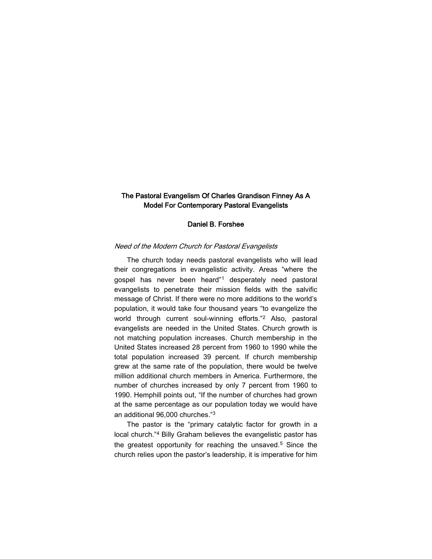# The Pastoral Evangelism Of Charles Grandison Finney As A Model For Contemporary Pastoral Evangelists

#### Daniel B. Forshee

## Need of the Modern Church for Pastoral Evangelists

The church today needs pastoral evangelists who will lead their congregations in evangelistic activity. Areas "where the gospel has never been heard"<sup>1</sup> desperately need pastoral evangelists to penetrate their mission fields with the salvific message of Christ. If there were no more additions to the world's population, it would take four thousand years "to evangelize the world through current soul-winning efforts."<sup>2</sup> Also, pastoral evangelists are needed in the United States. Church growth is not matching population increases. Church membership in the United States increased 28 percent from 1960 to 1990 while the total population increased 39 percent. If church membership grew at the same rate of the population, there would be twelve million additional church members in America. Furthermore, the number of churches increased by only 7 percent from 1960 to 1990. Hemphill points out, "If the number of churches had grown at the same percentage as our population today we would have an additional 96,000 churches."<sup>3</sup>

The pastor is the "primary catalytic factor for growth in a local church."<sup>4</sup> Billy Graham believes the evangelistic pastor has the greatest opportunity for reaching the unsaved.<sup>5</sup> Since the church relies upon the pastor's leadership, it is imperative for him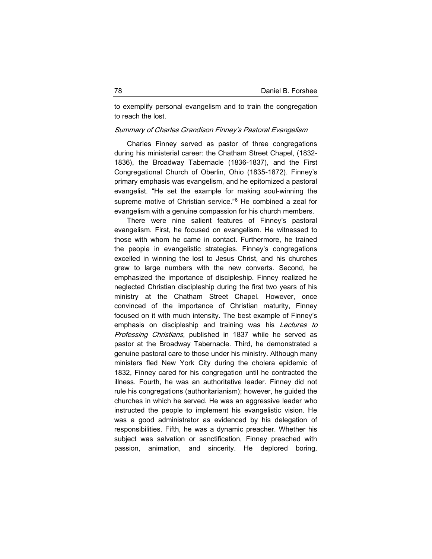to exemplify personal evangelism and to train the congregation to reach the lost.

#### Summary of Charles Grandison Finney's Pastoral Evangelism

Charles Finney served as pastor of three congregations during his ministerial career: the Chatham Street Chapel, (1832- 1836), the Broadway Tabernacle (1836-1837), and the First Congregational Church of Oberlin, Ohio (1835-1872). Finney's primary emphasis was evangelism, and he epitomized a pastoral evangelist. "He set the example for making soul-winning the supreme motive of Christian service."<sup>6</sup> He combined a zeal for evangelism with a genuine compassion for his church members.

There were nine salient features of Finney's pastoral evangelism. First, he focused on evangelism. He witnessed to those with whom he came in contact. Furthermore, he trained the people in evangelistic strategies. Finney's congregations excelled in winning the lost to Jesus Christ, and his churches grew to large numbers with the new converts. Second, he emphasized the importance of discipleship. Finney realized he neglected Christian discipleship during the first two years of his ministry at the Chatham Street Chapel. However, once convinced of the importance of Christian maturity, Finney focused on it with much intensity. The best example of Finney's emphasis on discipleship and training was his Lectures to Professing Christians, published in 1837 while he served as pastor at the Broadway Tabernacle. Third, he demonstrated a genuine pastoral care to those under his ministry. Although many ministers fled New York City during the cholera epidemic of 1832, Finney cared for his congregation until he contracted the illness. Fourth, he was an authoritative leader. Finney did not rule his congregations (authoritarianism); however, he guided the churches in which he served. He was an aggressive leader who instructed the people to implement his evangelistic vision. He was a good administrator as evidenced by his delegation of responsibilities. Fifth, he was a dynamic preacher. Whether his subject was salvation or sanctification, Finney preached with passion, animation, and sincerity. He deplored boring,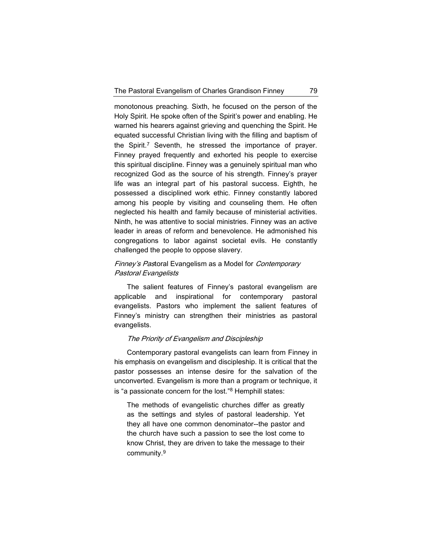monotonous preaching. Sixth, he focused on the person of the Holy Spirit. He spoke often of the Spirit's power and enabling. He warned his hearers against grieving and quenching the Spirit. He equated successful Christian living with the filling and baptism of the Spirit.<sup>7</sup> Seventh, he stressed the importance of prayer. Finney prayed frequently and exhorted his people to exercise this spiritual discipline. Finney was a genuinely spiritual man who recognized God as the source of his strength. Finney's prayer life was an integral part of his pastoral success. Eighth, he possessed a disciplined work ethic. Finney constantly labored among his people by visiting and counseling them. He often neglected his health and family because of ministerial activities. Ninth, he was attentive to social ministries. Finney was an active leader in areas of reform and benevolence. He admonished his congregations to labor against societal evils. He constantly challenged the people to oppose slavery.

# Finney's Pastoral Evangelism as a Model for Contemporary Pastoral Evangelists

The salient features of Finney's pastoral evangelism are applicable and inspirational for contemporary pastoral evangelists. Pastors who implement the salient features of Finney's ministry can strengthen their ministries as pastoral evangelists.

## The Priority of Evangelism and Discipleship

Contemporary pastoral evangelists can learn from Finney in his emphasis on evangelism and discipleship. It is critical that the pastor possesses an intense desire for the salvation of the unconverted. Evangelism is more than a program or technique, it is "a passionate concern for the lost."<sup>8</sup> Hemphill states:

The methods of evangelistic churches differ as greatly as the settings and styles of pastoral leadership. Yet they all have one common denominator--the pastor and the church have such a passion to see the lost come to know Christ, they are driven to take the message to their community.9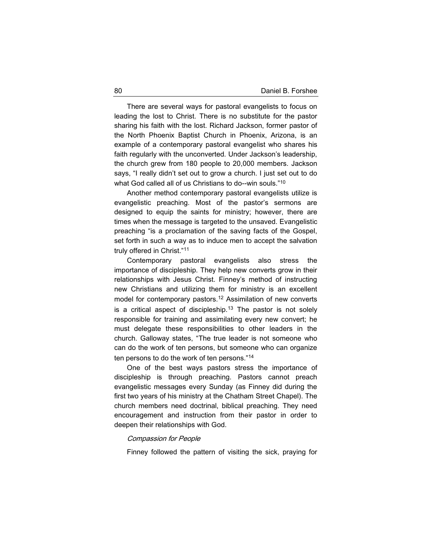There are several ways for pastoral evangelists to focus on leading the lost to Christ. There is no substitute for the pastor sharing his faith with the lost. Richard Jackson, former pastor of the North Phoenix Baptist Church in Phoenix, Arizona, is an example of a contemporary pastoral evangelist who shares his faith regularly with the unconverted. Under Jackson's leadership, the church grew from 180 people to 20,000 members. Jackson says, "I really didn't set out to grow a church. I just set out to do what God called all of us Christians to do--win souls."<sup>10</sup>

Another method contemporary pastoral evangelists utilize is evangelistic preaching. Most of the pastor's sermons are designed to equip the saints for ministry; however, there are times when the message is targeted to the unsaved. Evangelistic preaching "is a proclamation of the saving facts of the Gospel, set forth in such a way as to induce men to accept the salvation truly offered in Christ."<sup>11</sup>

Contemporary pastoral evangelists also stress the importance of discipleship. They help new converts grow in their relationships with Jesus Christ. Finney's method of instructing new Christians and utilizing them for ministry is an excellent model for contemporary pastors.<sup>12</sup> Assimilation of new converts is a critical aspect of discipleship.<sup>13</sup> The pastor is not solely responsible for training and assimilating every new convert; he must delegate these responsibilities to other leaders in the church. Galloway states, "The true leader is not someone who can do the work of ten persons, but someone who can organize ten persons to do the work of ten persons."<sup>14</sup>

One of the best ways pastors stress the importance of discipleship is through preaching. Pastors cannot preach evangelistic messages every Sunday (as Finney did during the first two years of his ministry at the Chatham Street Chapel). The church members need doctrinal, biblical preaching. They need encouragement and instruction from their pastor in order to deepen their relationships with God.

## Compassion for People

Finney followed the pattern of visiting the sick, praying for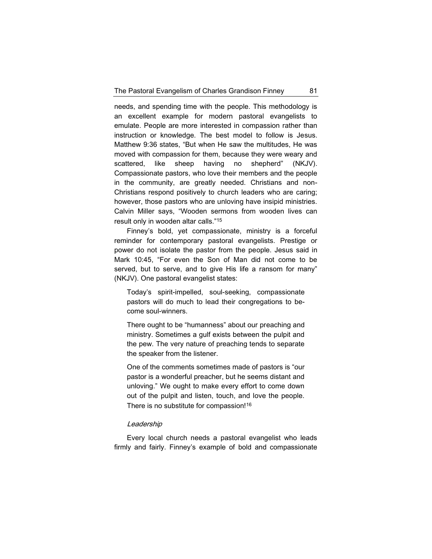needs, and spending time with the people. This methodology is an excellent example for modern pastoral evangelists to emulate. People are more interested in compassion rather than instruction or knowledge. The best model to follow is Jesus. Matthew 9:36 states, "But when He saw the multitudes, He was moved with compassion for them, because they were weary and scattered, like sheep having no shepherd" (NKJV). Compassionate pastors, who love their members and the people in the community, are greatly needed. Christians and non-Christians respond positively to church leaders who are caring; however, those pastors who are unloving have insipid ministries. Calvin Miller says, "Wooden sermons from wooden lives can result only in wooden altar calls."<sup>15</sup>

Finney's bold, yet compassionate, ministry is a forceful reminder for contemporary pastoral evangelists. Prestige or power do not isolate the pastor from the people. Jesus said in Mark 10:45, "For even the Son of Man did not come to be served, but to serve, and to give His life a ransom for many" (NKJV). One pastoral evangelist states:

Today's spirit-impelled, soul-seeking, compassionate pastors will do much to lead their congregations to become soul-winners.

There ought to be "humanness" about our preaching and ministry. Sometimes a gulf exists between the pulpit and the pew. The very nature of preaching tends to separate the speaker from the listener.

One of the comments sometimes made of pastors is "our pastor is a wonderful preacher, but he seems distant and unloving." We ought to make every effort to come down out of the pulpit and listen, touch, and love the people. There is no substitute for compassion!<sup>16</sup>

### **Leadership**

Every local church needs a pastoral evangelist who leads firmly and fairly. Finney's example of bold and compassionate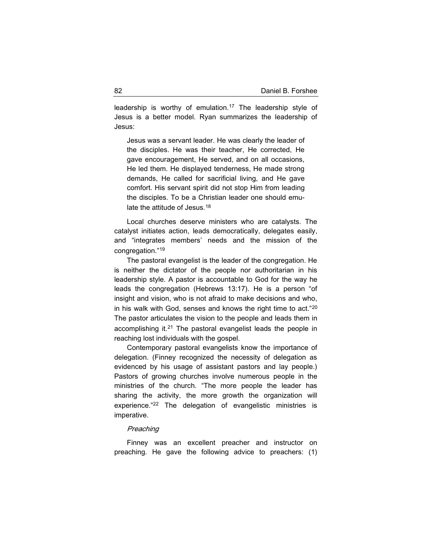leadership is worthy of emulation.<sup>17</sup> The leadership style of Jesus is a better model. Ryan summarizes the leadership of Jesus:

Jesus was a servant leader. He was clearly the leader of the disciples. He was their teacher, He corrected, He gave encouragement, He served, and on all occasions, He led them. He displayed tenderness, He made strong demands, He called for sacrificial living, and He gave comfort. His servant spirit did not stop Him from leading the disciples. To be a Christian leader one should emulate the attitude of Jesus.<sup>18</sup>

Local churches deserve ministers who are catalysts. The catalyst initiates action, leads democratically, delegates easily, and "integrates members' needs and the mission of the congregation."<sup>19</sup>

The pastoral evangelist is the leader of the congregation. He is neither the dictator of the people nor authoritarian in his leadership style. A pastor is accountable to God for the way he leads the congregation (Hebrews 13:17). He is a person "of insight and vision, who is not afraid to make decisions and who, in his walk with God, senses and knows the right time to act."<sup>20</sup> The pastor articulates the vision to the people and leads them in accomplishing it.<sup>21</sup> The pastoral evangelist leads the people in reaching lost individuals with the gospel.

Contemporary pastoral evangelists know the importance of delegation. (Finney recognized the necessity of delegation as evidenced by his usage of assistant pastors and lay people.) Pastors of growing churches involve numerous people in the ministries of the church. "The more people the leader has sharing the activity, the more growth the organization will experience."<sup>22</sup> The delegation of evangelistic ministries is imperative.

### **Preaching**

Finney was an excellent preacher and instructor on preaching. He gave the following advice to preachers: (1)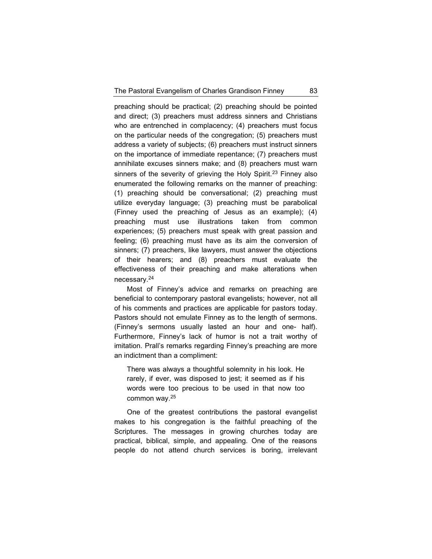preaching should be practical; (2) preaching should be pointed and direct; (3) preachers must address sinners and Christians who are entrenched in complacency; (4) preachers must focus on the particular needs of the congregation; (5) preachers must address a variety of subjects; (6) preachers must instruct sinners on the importance of immediate repentance; (7) preachers must annihilate excuses sinners make; and (8) preachers must warn sinners of the severity of grieving the Holy Spirit.<sup>23</sup> Finney also enumerated the following remarks on the manner of preaching: (1) preaching should be conversational; (2) preaching must utilize everyday language; (3) preaching must be parabolical (Finney used the preaching of Jesus as an example); (4) preaching must use illustrations taken from common experiences; (5) preachers must speak with great passion and feeling; (6) preaching must have as its aim the conversion of sinners; (7) preachers, like lawyers, must answer the objections of their hearers; and (8) preachers must evaluate the effectiveness of their preaching and make alterations when necessary.<sup>24</sup>

Most of Finney's advice and remarks on preaching are beneficial to contemporary pastoral evangelists; however, not all of his comments and practices are applicable for pastors today. Pastors should not emulate Finney as to the length of sermons. (Finney's sermons usually lasted an hour and one- half). Furthermore, Finney's lack of humor is not a trait worthy of imitation. Prall's remarks regarding Finney's preaching are more an indictment than a compliment:

There was always a thoughtful solemnity in his look. He rarely, if ever, was disposed to jest; it seemed as if his words were too precious to be used in that now too common way.<sup>25</sup>

One of the greatest contributions the pastoral evangelist makes to his congregation is the faithful preaching of the Scriptures. The messages in growing churches today are practical, biblical, simple, and appealing. One of the reasons people do not attend church services is boring, irrelevant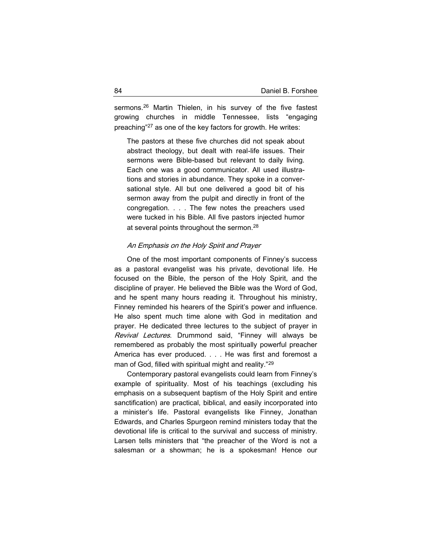sermons.<sup>26</sup> Martin Thielen, in his survey of the five fastest growing churches in middle Tennessee, lists "engaging preaching"<sup>27</sup> as one of the key factors for growth. He writes:

The pastors at these five churches did not speak about abstract theology, but dealt with real-life issues. Their sermons were Bible-based but relevant to daily living. Each one was a good communicator. All used illustrations and stories in abundance. They spoke in a conversational style. All but one delivered a good bit of his sermon away from the pulpit and directly in front of the congregation. . . . The few notes the preachers used were tucked in his Bible. All five pastors injected humor at several points throughout the sermon.<sup>28</sup>

## An Emphasis on the Holy Spirit and Prayer

One of the most important components of Finney's success as a pastoral evangelist was his private, devotional life. He focused on the Bible, the person of the Holy Spirit, and the discipline of prayer. He believed the Bible was the Word of God, and he spent many hours reading it. Throughout his ministry, Finney reminded his hearers of the Spirit's power and influence. He also spent much time alone with God in meditation and prayer. He dedicated three lectures to the subject of prayer in Revival Lectures. Drummond said, "Finney will always be remembered as probably the most spiritually powerful preacher America has ever produced. . . . He was first and foremost a man of God, filled with spiritual might and reality."<sup>29</sup>

Contemporary pastoral evangelists could learn from Finney's example of spirituality. Most of his teachings (excluding his emphasis on a subsequent baptism of the Holy Spirit and entire sanctification) are practical, biblical, and easily incorporated into a minister's life. Pastoral evangelists like Finney, Jonathan Edwards, and Charles Spurgeon remind ministers today that the devotional life is critical to the survival and success of ministry. Larsen tells ministers that "the preacher of the Word is not a salesman or a showman; he is a spokesman! Hence our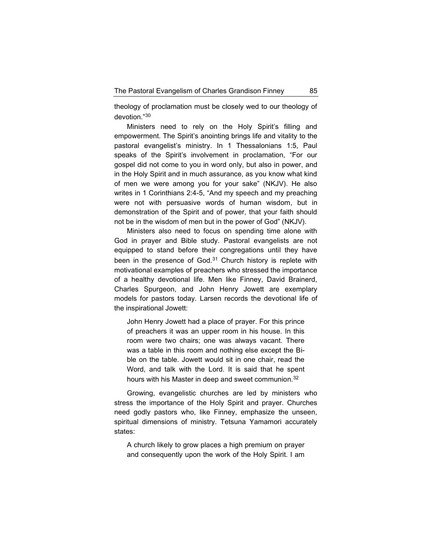theology of proclamation must be closely wed to our theology of devotion."<sup>30</sup>

Ministers need to rely on the Holy Spirit's filling and empowerment. The Spirit's anointing brings life and vitality to the pastoral evangelist's ministry. In 1 Thessalonians 1:5, Paul speaks of the Spirit's involvement in proclamation, "For our gospel did not come to you in word only, but also in power, and in the Holy Spirit and in much assurance, as you know what kind of men we were among you for your sake" (NKJV). He also writes in 1 Corinthians 2:4-5, "And my speech and my preaching were not with persuasive words of human wisdom, but in demonstration of the Spirit and of power, that your faith should not be in the wisdom of men but in the power of God" (NKJV).

Ministers also need to focus on spending time alone with God in prayer and Bible study. Pastoral evangelists are not equipped to stand before their congregations until they have been in the presence of God.<sup>31</sup> Church history is replete with motivational examples of preachers who stressed the importance of a healthy devotional life. Men like Finney, David Brainerd, Charles Spurgeon, and John Henry Jowett are exemplary models for pastors today. Larsen records the devotional life of the inspirational Jowett:

John Henry Jowett had a place of prayer. For this prince of preachers it was an upper room in his house. In this room were two chairs; one was always vacant. There was a table in this room and nothing else except the Bible on the table. Jowett would sit in one chair, read the Word, and talk with the Lord. It is said that he spent hours with his Master in deep and sweet communion.<sup>32</sup>

Growing, evangelistic churches are led by ministers who stress the importance of the Holy Spirit and prayer. Churches need godly pastors who, like Finney, emphasize the unseen, spiritual dimensions of ministry. Tetsuna Yamamori accurately states:

A church likely to grow places a high premium on prayer and consequently upon the work of the Holy Spirit. I am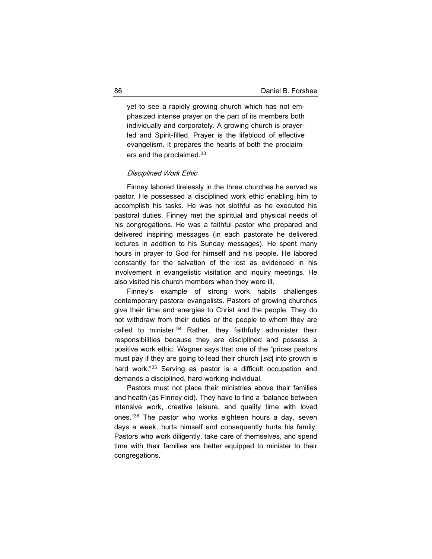yet to see a rapidly growing church which has not emphasized intense prayer on the part of its members both individually and corporately. A growing church is prayerled and Spirit-filled. Prayer is the lifeblood of effective evangelism. It prepares the hearts of both the proclaimers and the proclaimed.<sup>33</sup>

### Disciplined Work Ethic

Finney labored tirelessly in the three churches he served as pastor. He possessed a disciplined work ethic enabling him to accomplish his tasks. He was not slothful as he executed his pastoral duties. Finney met the spiritual and physical needs of his congregations. He was a faithful pastor who prepared and delivered inspiring messages (in each pastorate he delivered lectures in addition to his Sunday messages). He spent many hours in prayer to God for himself and his people. He labored constantly for the salvation of the lost as evidenced in his involvement in evangelistic visitation and inquiry meetings. He also visited his church members when they were ill.

Finney's example of strong work habits challenges contemporary pastoral evangelists. Pastors of growing churches give their time and energies to Christ and the people. They do not withdraw from their duties or the people to whom they are called to minister.<sup>34</sup> Rather, they faithfully administer their responsibilities because they are disciplined and possess a positive work ethic. Wagner says that one of the "prices pastors must pay if they are going to lead their church [sic] into growth is hard work."35 Serving as pastor is a difficult occupation and demands a disciplined, hard-working individual.

Pastors must not place their ministries above their families and health (as Finney did). They have to find a "balance between intensive work, creative leisure, and quality time with loved ones."<sup>36</sup> The pastor who works eighteen hours a day, seven days a week, hurts himself and consequently hurts his family. Pastors who work diligently, take care of themselves, and spend time with their families are better equipped to minister to their congregations.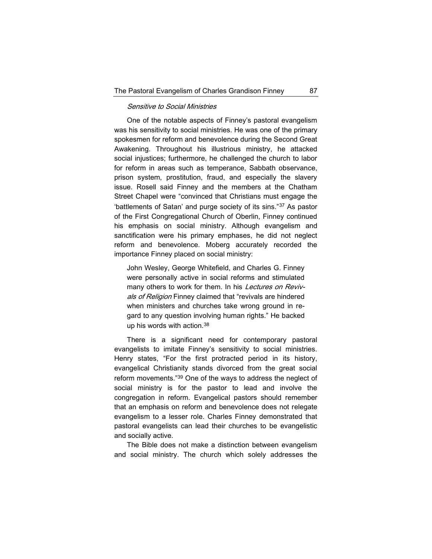## Sensitive to Social Ministries

One of the notable aspects of Finney's pastoral evangelism was his sensitivity to social ministries. He was one of the primary spokesmen for reform and benevolence during the Second Great Awakening. Throughout his illustrious ministry, he attacked social injustices; furthermore, he challenged the church to labor for reform in areas such as temperance, Sabbath observance, prison system, prostitution, fraud, and especially the slavery issue. Rosell said Finney and the members at the Chatham Street Chapel were "convinced that Christians must engage the 'battlements of Satan' and purge society of its sins."<sup>37</sup> As pastor of the First Congregational Church of Oberlin, Finney continued his emphasis on social ministry. Although evangelism and sanctification were his primary emphases, he did not neglect reform and benevolence. Moberg accurately recorded the importance Finney placed on social ministry:

John Wesley, George Whitefield, and Charles G. Finney were personally active in social reforms and stimulated many others to work for them. In his Lectures on Revivals of Religion Finney claimed that "revivals are hindered when ministers and churches take wrong ground in regard to any question involving human rights." He backed up his words with action.<sup>38</sup>

There is a significant need for contemporary pastoral evangelists to imitate Finney's sensitivity to social ministries. Henry states, "For the first protracted period in its history, evangelical Christianity stands divorced from the great social reform movements."<sup>39</sup> One of the ways to address the neglect of social ministry is for the pastor to lead and involve the congregation in reform. Evangelical pastors should remember that an emphasis on reform and benevolence does not relegate evangelism to a lesser role. Charles Finney demonstrated that pastoral evangelists can lead their churches to be evangelistic and socially active.

The Bible does not make a distinction between evangelism and social ministry. The church which solely addresses the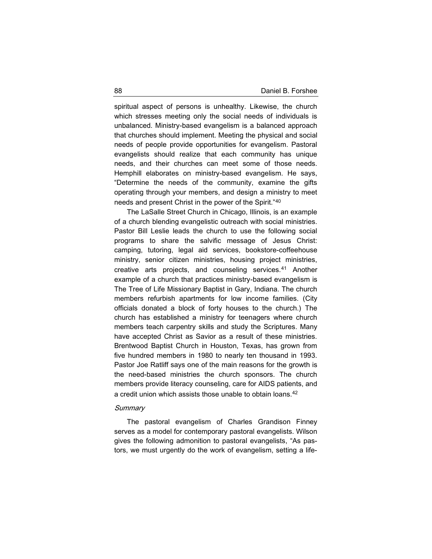spiritual aspect of persons is unhealthy. Likewise, the church which stresses meeting only the social needs of individuals is unbalanced. Ministry-based evangelism is a balanced approach that churches should implement. Meeting the physical and social needs of people provide opportunities for evangelism. Pastoral evangelists should realize that each community has unique needs, and their churches can meet some of those needs. Hemphill elaborates on ministry-based evangelism. He says, "Determine the needs of the community, examine the gifts operating through your members, and design a ministry to meet needs and present Christ in the power of the Spirit."<sup>40</sup>

The LaSalle Street Church in Chicago, Illinois, is an example of a church blending evangelistic outreach with social ministries. Pastor Bill Leslie leads the church to use the following social programs to share the salvific message of Jesus Christ: camping, tutoring, legal aid services, bookstore-coffeehouse ministry, senior citizen ministries, housing project ministries, creative arts projects, and counseling services.<sup>41</sup> Another example of a church that practices ministry-based evangelism is The Tree of Life Missionary Baptist in Gary, Indiana. The church members refurbish apartments for low income families. (City officials donated a block of forty houses to the church.) The church has established a ministry for teenagers where church members teach carpentry skills and study the Scriptures. Many have accepted Christ as Savior as a result of these ministries. Brentwood Baptist Church in Houston, Texas, has grown from five hundred members in 1980 to nearly ten thousand in 1993. Pastor Joe Ratliff says one of the main reasons for the growth is the need-based ministries the church sponsors. The church members provide literacy counseling, care for AIDS patients, and a credit union which assists those unable to obtain loans.<sup>42</sup>

#### **Summary**

The pastoral evangelism of Charles Grandison Finney serves as a model for contemporary pastoral evangelists. Wilson gives the following admonition to pastoral evangelists, "As pastors, we must urgently do the work of evangelism, setting a life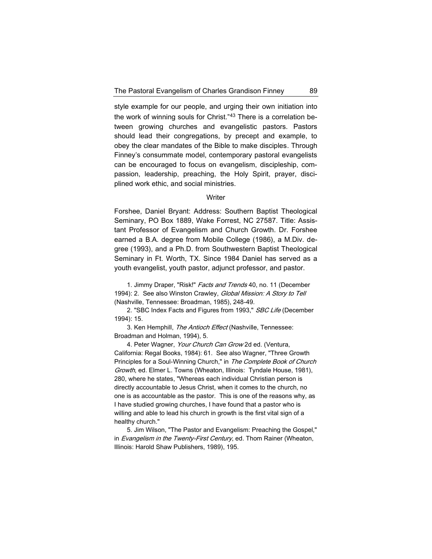style example for our people, and urging their own initiation into the work of winning souls for Christ."<sup>43</sup> There is a correlation between growing churches and evangelistic pastors. Pastors should lead their congregations, by precept and example, to obey the clear mandates of the Bible to make disciples. Through Finney's consummate model, contemporary pastoral evangelists can be encouraged to focus on evangelism, discipleship, compassion, leadership, preaching, the Holy Spirit, prayer, disciplined work ethic, and social ministries.

## **Writer**

Forshee, Daniel Bryant: Address: Southern Baptist Theological Seminary, PO Box 1889, Wake Forrest, NC 27587. Title: Assistant Professor of Evangelism and Church Growth. Dr. Forshee earned a B.A. degree from Mobile College (1986), a M.Div. degree (1993), and a Ph.D. from Southwestern Baptist Theological Seminary in Ft. Worth, TX. Since 1984 Daniel has served as a youth evangelist, youth pastor, adjunct professor, and pastor.

1. Jimmy Draper, "Risk!" Facts and Trends 40, no. 11 (December 1994): 2. See also Winston Crawley, Global Mission: A Story to Tell (Nashville, Tennessee: Broadman, 1985), 248-49.

2. "SBC Index Facts and Figures from 1993," SBC Life (December 1994): 15.

3. Ken Hemphill, The Antioch Effect (Nashville, Tennessee: Broadman and Holman, 1994), 5.

4. Peter Wagner, Your Church Can Grow 2d ed. (Ventura, California: Regal Books, 1984): 61. See also Wagner, "Three Growth Principles for a Soul-Winning Church," in The Complete Book of Church Growth, ed. Elmer L. Towns (Wheaton, Illinois: Tyndale House, 1981), 280, where he states, "Whereas each individual Christian person is directly accountable to Jesus Christ, when it comes to the church, no one is as accountable as the pastor. This is one of the reasons why, as I have studied growing churches, I have found that a pastor who is willing and able to lead his church in growth is the first vital sign of a healthy church."

5. Jim Wilson, "The Pastor and Evangelism: Preaching the Gospel," in Evangelism in the Twenty-First Century, ed. Thom Rainer (Wheaton, Illinois: Harold Shaw Publishers, 1989), 195.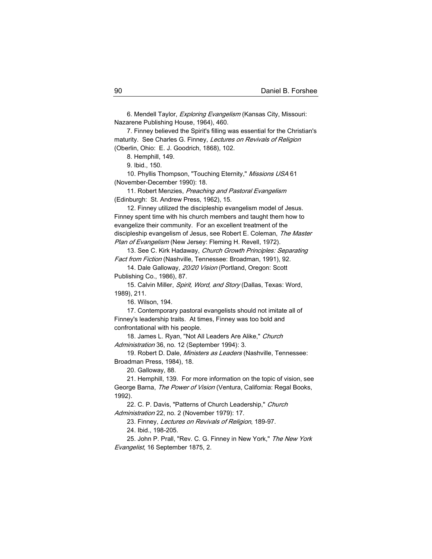6. Mendell Taylor, Exploring Evangelism (Kansas City, Missouri: Nazarene Publishing House, 1964), 460.

7. Finney believed the Spirit's filling was essential for the Christian's maturity. See Charles G. Finney, Lectures on Revivals of Religion (Oberlin, Ohio: E. J. Goodrich, 1868), 102.

8. Hemphill, 149.

9. Ibid., 150.

10. Phyllis Thompson, "Touching Eternity," Missions USA 61 (November-December 1990): 18.

11. Robert Menzies, Preaching and Pastoral Evangelism (Edinburgh: St. Andrew Press, 1962), 15.

12. Finney utilized the discipleship evangelism model of Jesus. Finney spent time with his church members and taught them how to evangelize their community. For an excellent treatment of the discipleship evangelism of Jesus, see Robert E. Coleman, The Master Plan of Evangelism (New Jersey: Fleming H. Revell, 1972).

13. See C. Kirk Hadaway, Church Growth Principles: Separating Fact from Fiction (Nashville, Tennessee: Broadman, 1991), 92.

14. Dale Galloway, 20/20 Vision (Portland, Oregon: Scott Publishing Co., 1986), 87.

15. Calvin Miller, Spirit, Word, and Story (Dallas, Texas: Word, 1989), 211.

16. Wilson, 194.

17. Contemporary pastoral evangelists should not imitate all of Finney's leadership traits. At times, Finney was too bold and confrontational with his people.

18. James L. Ryan, "Not All Leaders Are Alike," Church Administration 36, no. 12 (September 1994): 3.

19. Robert D. Dale, Ministers as Leaders (Nashville, Tennessee: Broadman Press, 1984), 18.

20. Galloway, 88.

21. Hemphill, 139. For more information on the topic of vision, see George Barna, The Power of Vision (Ventura, California: Regal Books, 1992).

22. C. P. Davis, "Patterns of Church Leadership," Church Administration 22, no. 2 (November 1979): 17.

23. Finney, Lectures on Revivals of Religion, 189-97.

24. Ibid., 198-205.

25. John P. Prall, "Rev. C. G. Finney in New York," The New York Evangelist, 16 September 1875, 2.